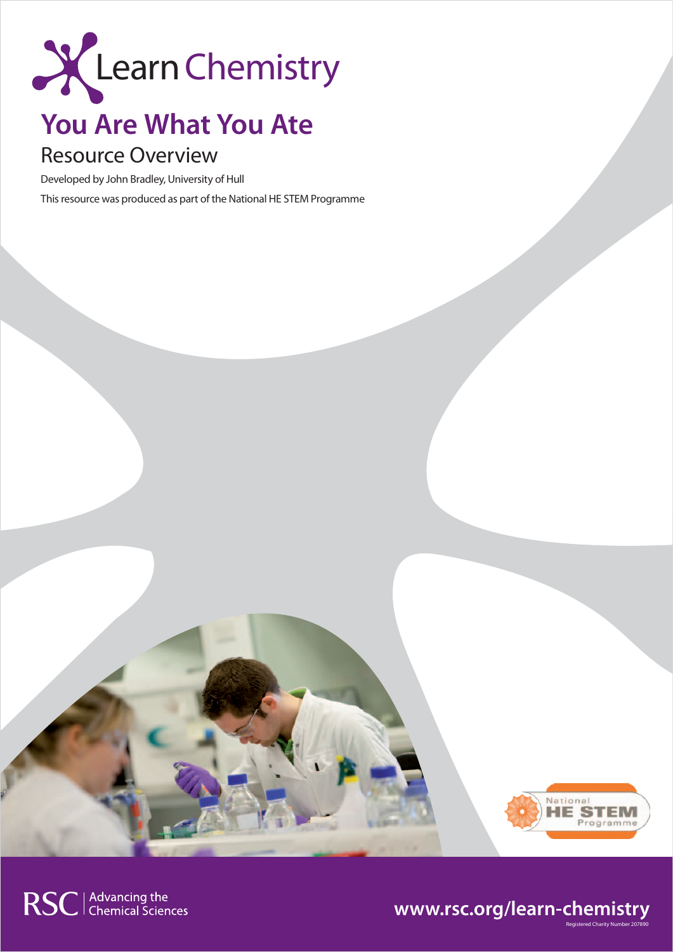

# **You Are What You Ate**

# Resource Overview

Developed by John Bradley, University of Hull

This resource was produced as part of the National HE STEM Programme



Registered Charity Number 207890

## **www.rsc.org/learn-chemistry**

RSC | Advancing the<br>
Chemical Sciences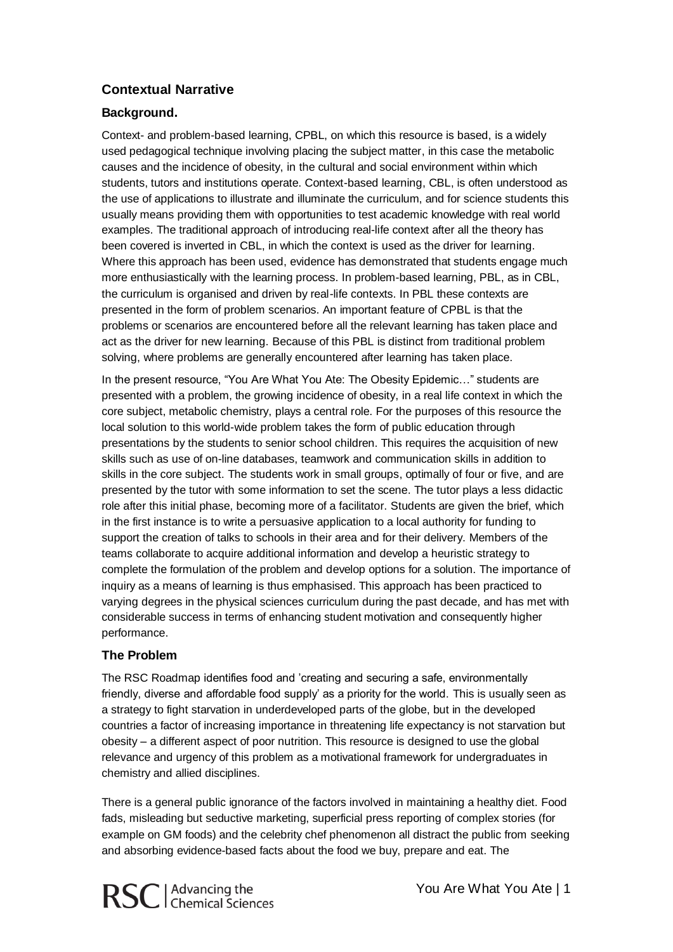### **Contextual Narrative**

#### **Background.**

Context- and problem-based learning, CPBL, on which this resource is based, is a widely used pedagogical technique involving placing the subject matter, in this case the metabolic causes and the incidence of obesity, in the cultural and social environment within which students, tutors and institutions operate. Context-based learning, CBL, is often understood as the use of applications to illustrate and illuminate the curriculum, and for science students this usually means providing them with opportunities to test academic knowledge with real world examples. The traditional approach of introducing real-life context after all the theory has been covered is inverted in CBL, in which the context is used as the driver for learning. Where this approach has been used, evidence has demonstrated that students engage much more enthusiastically with the learning process. In problem-based learning, PBL, as in CBL, the curriculum is organised and driven by real-life contexts. In PBL these contexts are presented in the form of problem scenarios. An important feature of CPBL is that the problems or scenarios are encountered before all the relevant learning has taken place and act as the driver for new learning. Because of this PBL is distinct from traditional problem solving, where problems are generally encountered after learning has taken place.

In the present resource, "You Are What You Ate: The Obesity Epidemic…" students are presented with a problem, the growing incidence of obesity, in a real life context in which the core subject, metabolic chemistry, plays a central role. For the purposes of this resource the local solution to this world-wide problem takes the form of public education through presentations by the students to senior school children. This requires the acquisition of new skills such as use of on-line databases, teamwork and communication skills in addition to skills in the core subject. The students work in small groups, optimally of four or five, and are presented by the tutor with some information to set the scene. The tutor plays a less didactic role after this initial phase, becoming more of a facilitator. Students are given the brief, which in the first instance is to write a persuasive application to a local authority for funding to support the creation of talks to schools in their area and for their delivery. Members of the teams collaborate to acquire additional information and develop a heuristic strategy to complete the formulation of the problem and develop options for a solution. The importance of inquiry as a means of learning is thus emphasised. This approach has been practiced to varying degrees in the physical sciences curriculum during the past decade, and has met with considerable success in terms of enhancing student motivation and consequently higher performance.

#### **The Problem**

The RSC Roadmap identifies food and 'creating and securing a safe, environmentally friendly, diverse and affordable food supply' as a priority for the world. This is usually seen as a strategy to fight starvation in underdeveloped parts of the globe, but in the developed countries a factor of increasing importance in threatening life expectancy is not starvation but obesity – a different aspect of poor nutrition. This resource is designed to use the global relevance and urgency of this problem as a motivational framework for undergraduates in chemistry and allied disciplines.

There is a general public ignorance of the factors involved in maintaining a healthy diet. Food fads, misleading but seductive marketing, superficial press reporting of complex stories (for example on GM foods) and the celebrity chef phenomenon all distract the public from seeking and absorbing evidence-based facts about the food we buy, prepare and eat. The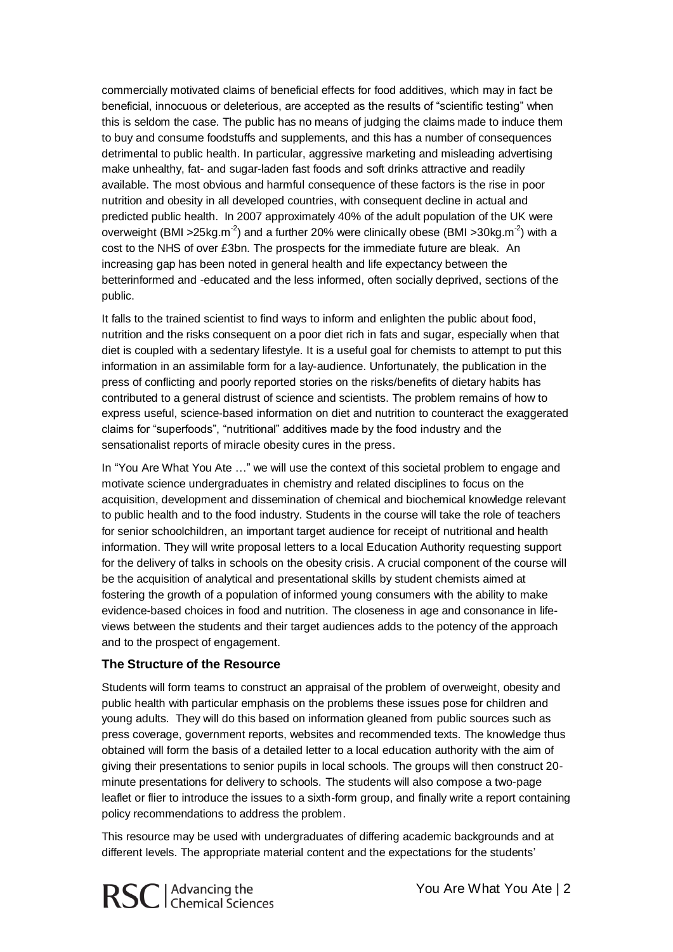commercially motivated claims of beneficial effects for food additives, which may in fact be beneficial, innocuous or deleterious, are accepted as the results of "scientific testing" when this is seldom the case. The public has no means of judging the claims made to induce them to buy and consume foodstuffs and supplements, and this has a number of consequences detrimental to public health. In particular, aggressive marketing and misleading advertising make unhealthy, fat- and sugar-laden fast foods and soft drinks attractive and readily available. The most obvious and harmful consequence of these factors is the rise in poor nutrition and obesity in all developed countries, with consequent decline in actual and predicted public health. In 2007 approximately 40% of the adult population of the UK were overweight (BMI >25kg.m<sup>-2</sup>) and a further 20% were clinically obese (BMI >30kg.m<sup>-2</sup>) with a cost to the NHS of over £3bn. The prospects for the immediate future are bleak. An increasing gap has been noted in general health and life expectancy between the betterinformed and -educated and the less informed, often socially deprived, sections of the public.

It falls to the trained scientist to find ways to inform and enlighten the public about food, nutrition and the risks consequent on a poor diet rich in fats and sugar, especially when that diet is coupled with a sedentary lifestyle. It is a useful goal for chemists to attempt to put this information in an assimilable form for a lay-audience. Unfortunately, the publication in the press of conflicting and poorly reported stories on the risks/benefits of dietary habits has contributed to a general distrust of science and scientists. The problem remains of how to express useful, science-based information on diet and nutrition to counteract the exaggerated claims for "superfoods", "nutritional" additives made by the food industry and the sensationalist reports of miracle obesity cures in the press.

In "You Are What You Ate …" we will use the context of this societal problem to engage and motivate science undergraduates in chemistry and related disciplines to focus on the acquisition, development and dissemination of chemical and biochemical knowledge relevant to public health and to the food industry. Students in the course will take the role of teachers for senior schoolchildren, an important target audience for receipt of nutritional and health information. They will write proposal letters to a local Education Authority requesting support for the delivery of talks in schools on the obesity crisis. A crucial component of the course will be the acquisition of analytical and presentational skills by student chemists aimed at fostering the growth of a population of informed young consumers with the ability to make evidence-based choices in food and nutrition. The closeness in age and consonance in lifeviews between the students and their target audiences adds to the potency of the approach and to the prospect of engagement.

#### **The Structure of the Resource**

Students will form teams to construct an appraisal of the problem of overweight, obesity and public health with particular emphasis on the problems these issues pose for children and young adults. They will do this based on information gleaned from public sources such as press coverage, government reports, websites and recommended texts. The knowledge thus obtained will form the basis of a detailed letter to a local education authority with the aim of giving their presentations to senior pupils in local schools. The groups will then construct 20 minute presentations for delivery to schools. The students will also compose a two-page leaflet or flier to introduce the issues to a sixth-form group, and finally write a report containing policy recommendations to address the problem.

This resource may be used with undergraduates of differing academic backgrounds and at different levels. The appropriate material content and the expectations for the students'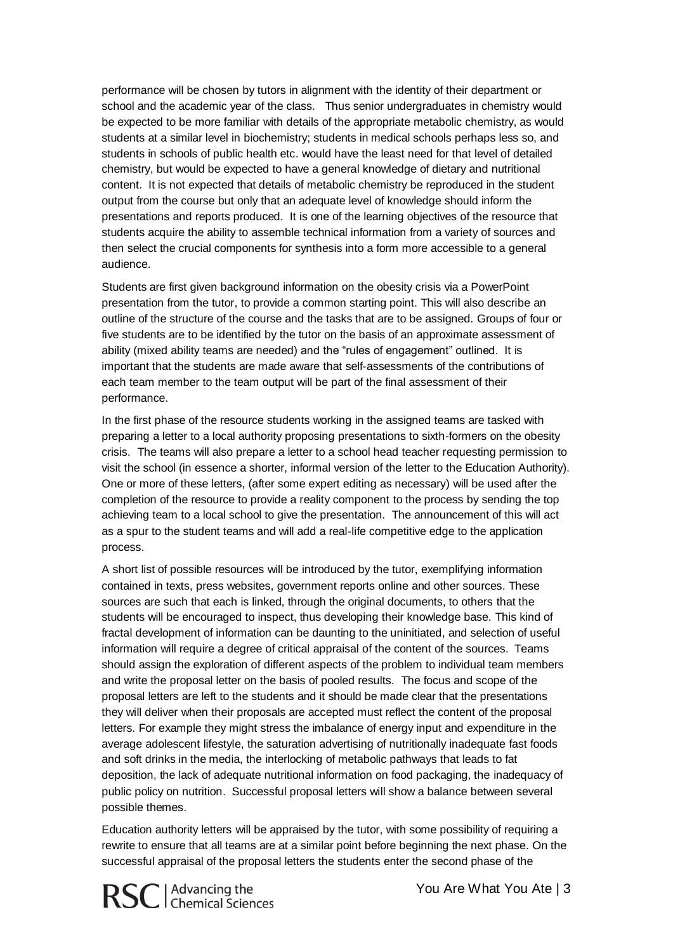performance will be chosen by tutors in alignment with the identity of their department or school and the academic year of the class. Thus senior undergraduates in chemistry would be expected to be more familiar with details of the appropriate metabolic chemistry, as would students at a similar level in biochemistry; students in medical schools perhaps less so, and students in schools of public health etc. would have the least need for that level of detailed chemistry, but would be expected to have a general knowledge of dietary and nutritional content. It is not expected that details of metabolic chemistry be reproduced in the student output from the course but only that an adequate level of knowledge should inform the presentations and reports produced. It is one of the learning objectives of the resource that students acquire the ability to assemble technical information from a variety of sources and then select the crucial components for synthesis into a form more accessible to a general audience.

Students are first given background information on the obesity crisis via a PowerPoint presentation from the tutor, to provide a common starting point. This will also describe an outline of the structure of the course and the tasks that are to be assigned. Groups of four or five students are to be identified by the tutor on the basis of an approximate assessment of ability (mixed ability teams are needed) and the "rules of engagement" outlined. It is important that the students are made aware that self-assessments of the contributions of each team member to the team output will be part of the final assessment of their performance.

In the first phase of the resource students working in the assigned teams are tasked with preparing a letter to a local authority proposing presentations to sixth-formers on the obesity crisis. The teams will also prepare a letter to a school head teacher requesting permission to visit the school (in essence a shorter, informal version of the letter to the Education Authority). One or more of these letters, (after some expert editing as necessary) will be used after the completion of the resource to provide a reality component to the process by sending the top achieving team to a local school to give the presentation. The announcement of this will act as a spur to the student teams and will add a real-life competitive edge to the application process.

A short list of possible resources will be introduced by the tutor, exemplifying information contained in texts, press websites, government reports online and other sources. These sources are such that each is linked, through the original documents, to others that the students will be encouraged to inspect, thus developing their knowledge base. This kind of fractal development of information can be daunting to the uninitiated, and selection of useful information will require a degree of critical appraisal of the content of the sources. Teams should assign the exploration of different aspects of the problem to individual team members and write the proposal letter on the basis of pooled results. The focus and scope of the proposal letters are left to the students and it should be made clear that the presentations they will deliver when their proposals are accepted must reflect the content of the proposal letters. For example they might stress the imbalance of energy input and expenditure in the average adolescent lifestyle, the saturation advertising of nutritionally inadequate fast foods and soft drinks in the media, the interlocking of metabolic pathways that leads to fat deposition, the lack of adequate nutritional information on food packaging, the inadequacy of public policy on nutrition. Successful proposal letters will show a balance between several possible themes.

Education authority letters will be appraised by the tutor, with some possibility of requiring a rewrite to ensure that all teams are at a similar point before beginning the next phase. On the successful appraisal of the proposal letters the students enter the second phase of the

You Are What You Ate | 3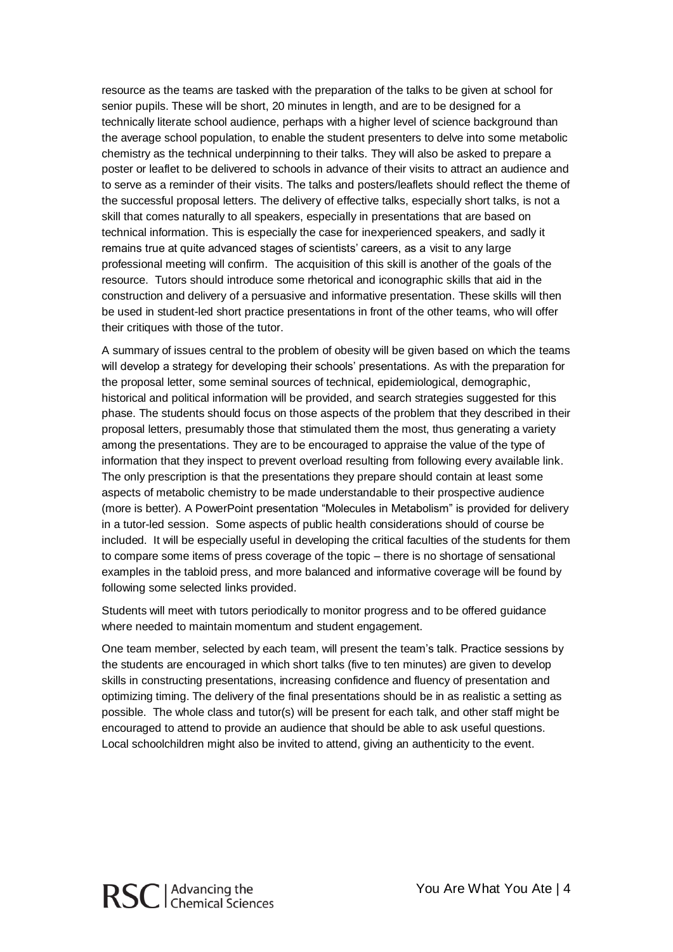resource as the teams are tasked with the preparation of the talks to be given at school for senior pupils. These will be short, 20 minutes in length, and are to be designed for a technically literate school audience, perhaps with a higher level of science background than the average school population, to enable the student presenters to delve into some metabolic chemistry as the technical underpinning to their talks. They will also be asked to prepare a poster or leaflet to be delivered to schools in advance of their visits to attract an audience and to serve as a reminder of their visits. The talks and posters/leaflets should reflect the theme of the successful proposal letters. The delivery of effective talks, especially short talks, is not a skill that comes naturally to all speakers, especially in presentations that are based on technical information. This is especially the case for inexperienced speakers, and sadly it remains true at quite advanced stages of scientists' careers, as a visit to any large professional meeting will confirm. The acquisition of this skill is another of the goals of the resource. Tutors should introduce some rhetorical and iconographic skills that aid in the construction and delivery of a persuasive and informative presentation. These skills will then be used in student-led short practice presentations in front of the other teams, who will offer their critiques with those of the tutor.

A summary of issues central to the problem of obesity will be given based on which the teams will develop a strategy for developing their schools' presentations. As with the preparation for the proposal letter, some seminal sources of technical, epidemiological, demographic, historical and political information will be provided, and search strategies suggested for this phase. The students should focus on those aspects of the problem that they described in their proposal letters, presumably those that stimulated them the most, thus generating a variety among the presentations. They are to be encouraged to appraise the value of the type of information that they inspect to prevent overload resulting from following every available link. The only prescription is that the presentations they prepare should contain at least some aspects of metabolic chemistry to be made understandable to their prospective audience (more is better). A PowerPoint presentation "Molecules in Metabolism" is provided for delivery in a tutor-led session. Some aspects of public health considerations should of course be included. It will be especially useful in developing the critical faculties of the students for them to compare some items of press coverage of the topic – there is no shortage of sensational examples in the tabloid press, and more balanced and informative coverage will be found by following some selected links provided.

Students will meet with tutors periodically to monitor progress and to be offered guidance where needed to maintain momentum and student engagement.

One team member, selected by each team, will present the team's talk. Practice sessions by the students are encouraged in which short talks (five to ten minutes) are given to develop skills in constructing presentations, increasing confidence and fluency of presentation and optimizing timing. The delivery of the final presentations should be in as realistic a setting as possible. The whole class and tutor(s) will be present for each talk, and other staff might be encouraged to attend to provide an audience that should be able to ask useful questions. Local schoolchildren might also be invited to attend, giving an authenticity to the event.